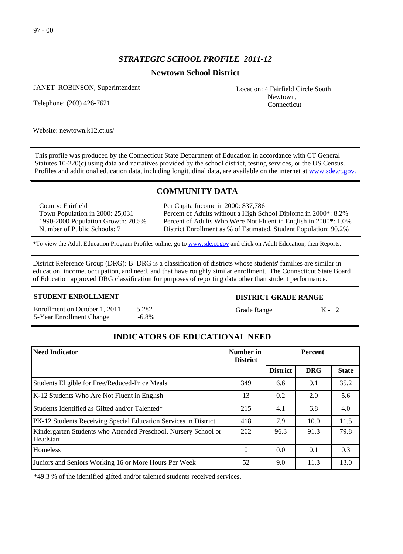# *STRATEGIC SCHOOL PROFILE 2011-12*

## **Newtown School District**

JANET ROBINSON, Superintendent

Telephone: (203) 426-7621

Location: 4 Fairfield Circle South Newtown, Connecticut

Website: newtown.k12.ct.us/

This profile was produced by the Connecticut State Department of Education in accordance with CT General Statutes 10-220(c) using data and narratives provided by the school district, testing services, or the US Census. Profiles and additional education data, including longitudinal data, are available on the internet at [www.sde.ct.gov.](http://www.sde.ct.gov/)

# **COMMUNITY DATA**

County: Fairfield Town Population in 2000: 25,031 1990-2000 Population Growth: 20.5% Number of Public Schools: 7

Per Capita Income in 2000: \$37,786 Percent of Adults without a High School Diploma in 2000\*: 8.2% Percent of Adults Who Were Not Fluent in English in 2000\*: 1.0% District Enrollment as % of Estimated. Student Population: 90.2%

\*To view the Adult Education Program Profiles online, go to [www.sde.ct.gov](http://www.sde.ct.gov/) and click on Adult Education, then Reports.

District Reference Group (DRG): B DRG is a classification of districts whose students' families are similar in education, income, occupation, and need, and that have roughly similar enrollment. The Connecticut State Board of Education approved DRG classification for purposes of reporting data other than student performance.

### **STUDENT ENROLLMENT**

Enrollment on October 1, 2011 5,282 5-Year Enrollment Change -6.8%

### **DISTRICT GRADE RANGE**

Grade Range K - 12

# **INDICATORS OF EDUCATIONAL NEED**

| Need Indicator                                                               | Number in<br><b>District</b> | <b>Percent</b>  |            |              |
|------------------------------------------------------------------------------|------------------------------|-----------------|------------|--------------|
|                                                                              |                              | <b>District</b> | <b>DRG</b> | <b>State</b> |
| Students Eligible for Free/Reduced-Price Meals                               | 349                          | 6.6             | 9.1        | 35.2         |
| K-12 Students Who Are Not Fluent in English                                  | 13                           | 0.2             | 2.0        | 5.6          |
| Students Identified as Gifted and/or Talented*                               | 215                          | 4.1             | 6.8        | 4.0          |
| PK-12 Students Receiving Special Education Services in District              | 418                          | 7.9             | 10.0       | 11.5         |
| Kindergarten Students who Attended Preschool, Nursery School or<br>Headstart | 262                          | 96.3            | 91.3       | 79.8         |
| <b>Homeless</b>                                                              | $\Omega$                     | 0.0             | 0.1        | 0.3          |
| Juniors and Seniors Working 16 or More Hours Per Week                        | 52                           | 9.0             | 11.3       | 13.0         |

\*49.3 % of the identified gifted and/or talented students received services.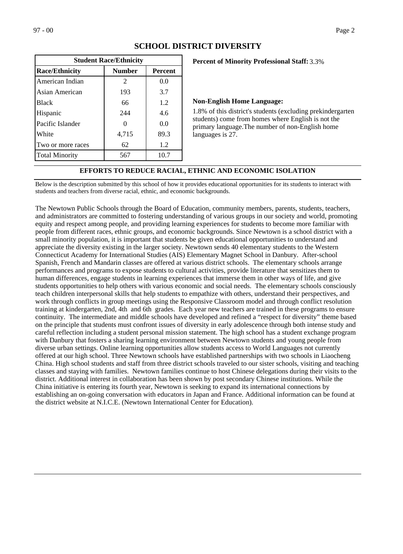| <b>Student Race/Ethnicity</b>                            |                |      |  |  |  |
|----------------------------------------------------------|----------------|------|--|--|--|
| <b>Race/Ethnicity</b><br><b>Number</b><br><b>Percent</b> |                |      |  |  |  |
| American Indian                                          | $\mathfrak{D}$ | 0.0  |  |  |  |
| Asian American                                           | 193            | 3.7  |  |  |  |
| <b>Black</b>                                             | 66             | 1.2  |  |  |  |
| Hispanic                                                 | 244            | 4.6  |  |  |  |
| Pacific Islander                                         |                | 0.0  |  |  |  |
| White                                                    | 4,715          | 89.3 |  |  |  |
| Two or more races                                        | 62             | 1.2  |  |  |  |
| <b>Total Minority</b>                                    | 567            | 10.7 |  |  |  |

### **SCHOOL DISTRICT DIVERSITY**

### **Percent of Minority Professional Staff:** 3.3%

#### **Non-English Home Language:**

1.8% of this district's students (excluding prekindergarten students) come from homes where English is not the primary language.The number of non-English home languages is 27.

### **EFFORTS TO REDUCE RACIAL, ETHNIC AND ECONOMIC ISOLATION**

Below is the description submitted by this school of how it provides educational opportunities for its students to interact with students and teachers from diverse racial, ethnic, and economic backgrounds.

The Newtown Public Schools through the Board of Education, community members, parents, students, teachers, and administrators are committed to fostering understanding of various groups in our society and world, promoting equity and respect among people, and providing learning experiences for students to become more familiar with people from different races, ethnic groups, and economic backgrounds. Since Newtown is a school district with a small minority population, it is important that students be given educational opportunities to understand and appreciate the diversity existing in the larger society. Newtown sends 40 elementary students to the Western Connecticut Academy for International Studies (AIS) Elementary Magnet School in Danbury. After-school Spanish, French and Mandarin classes are offered at various district schools. The elementary schools arrange performances and programs to expose students to cultural activities, provide literature that sensitizes them to human differences, engage students in learning experiences that immerse them in other ways of life, and give students opportunities to help others with various economic and social needs. The elementary schools consciously teach children interpersonal skills that help students to empathize with others, understand their perspectives, and work through conflicts in group meetings using the Responsive Classroom model and through conflict resolution training at kindergarten, 2nd, 4th and 6th grades. Each year new teachers are trained in these programs to ensure continuity. The intermediate and middle schools have developed and refined a "respect for diversity" theme based on the principle that students must confront issues of diversity in early adolescence through both intense study and careful reflection including a student personal mission statement. The high school has a student exchange program with Danbury that fosters a sharing learning environment between Newtown students and young people from diverse urban settings. Online learning opportunities allow students access to World Languages not currently offered at our high school. Three Newtown schools have established partnerships with two schools in Liaocheng China. High school students and staff from three district schools traveled to our sister schools, visiting and teaching classes and staying with families. Newtown families continue to host Chinese delegations during their visits to the district. Additional interest in collaboration has been shown by post secondary Chinese institutions. While the China initiative is entering its fourth year, Newtown is seeking to expand its international connections by establishing an on-going conversation with educators in Japan and France. Additional information can be found at the district website at N.I.C.E. (Newtown International Center for Education).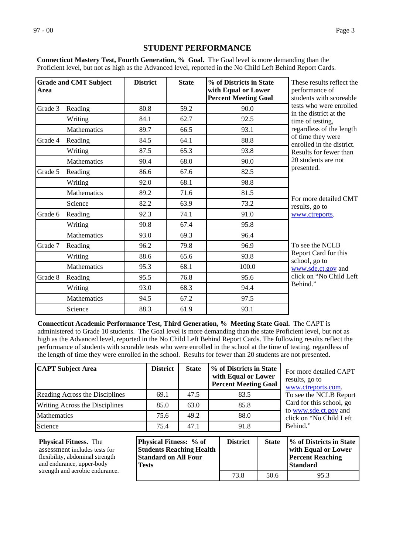# **STUDENT PERFORMANCE**

**Connecticut Mastery Test, Fourth Generation, % Goal.** The Goal level is more demanding than the Proficient level, but not as high as the Advanced level, reported in the No Child Left Behind Report Cards.

| Area    | <b>Grade and CMT Subject</b> | <b>District</b> | <b>State</b> | % of Districts in State<br>with Equal or Lower<br><b>Percent Meeting Goal</b> | These results reflect the<br>performance of<br>students with scoreable |
|---------|------------------------------|-----------------|--------------|-------------------------------------------------------------------------------|------------------------------------------------------------------------|
| Grade 3 | Reading                      | 80.8            | 59.2         | 90.0                                                                          | tests who were enrolled<br>in the district at the                      |
|         | Writing                      | 84.1            | 62.7         | 92.5                                                                          | time of testing,                                                       |
|         | Mathematics                  | 89.7            | 66.5         | 93.1                                                                          | regardless of the length                                               |
| Grade 4 | Reading                      | 84.5            | 64.1         | 88.8                                                                          | of time they were<br>enrolled in the district.                         |
|         | Writing                      | 87.5            | 65.3         | 93.8                                                                          | Results for fewer than                                                 |
|         | Mathematics                  | 90.4            | 68.0         | 90.0                                                                          | 20 students are not                                                    |
| Grade 5 | Reading                      | 86.6            | 67.6         | 82.5                                                                          | presented.                                                             |
|         | Writing                      | 92.0            | 68.1         | 98.8                                                                          |                                                                        |
|         | Mathematics                  | 89.2            | 71.6         | 81.5                                                                          |                                                                        |
|         | Science                      | 82.2            | 63.9         | 73.2                                                                          | For more detailed CMT<br>results, go to                                |
| Grade 6 | Reading                      | 92.3            | 74.1         | 91.0                                                                          | www.ctreports.                                                         |
|         | Writing                      | 90.8            | 67.4         | 95.8                                                                          |                                                                        |
|         | Mathematics                  | 93.0            | 69.3         | 96.4                                                                          |                                                                        |
| Grade 7 | Reading                      | 96.2            | 79.8         | 96.9                                                                          | To see the NCLB                                                        |
|         | Writing                      | 88.6            | 65.6         | 93.8                                                                          | Report Card for this                                                   |
|         | Mathematics                  | 95.3            | 68.1         | 100.0                                                                         | school, go to<br>www.sde.ct.gov and                                    |
| Grade 8 | Reading                      | 95.5            | 76.8         | 95.6                                                                          | click on "No Child Left                                                |
|         | Writing                      | 93.0            | 68.3         | 94.4                                                                          | Behind."                                                               |
|         | Mathematics                  | 94.5            | 67.2         | 97.5                                                                          |                                                                        |
|         | Science                      | 88.3            | 61.9         | 93.1                                                                          |                                                                        |

**Connecticut Academic Performance Test, Third Generation, % Meeting State Goal.** The CAPT is administered to Grade 10 students. The Goal level is more demanding than the state Proficient level, but not as high as the Advanced level, reported in the No Child Left Behind Report Cards. The following results reflect the performance of students with scorable tests who were enrolled in the school at the time of testing, regardless of the length of time they were enrolled in the school. Results for fewer than 20 students are not presented.

| <b>CAPT Subject Area</b>       | <b>District</b> | <b>State</b> | % of Districts in State<br>with Equal or Lower<br><b>Percent Meeting Goal</b> |
|--------------------------------|-----------------|--------------|-------------------------------------------------------------------------------|
| Reading Across the Disciplines | 69.1            | 47.5         | 83.5                                                                          |
| Writing Across the Disciplines | 85.0            | 63.0         | 85.8                                                                          |
| <b>Mathematics</b>             | 75.6            | 49.2         | 88.0                                                                          |
| Science                        | 75.4            | 47.1         | 91.8                                                                          |

For more detailed CAPT results, go to [www.ctreports.com](http://www.ctreports.com/). To see the NCLB Report Card for this school, go to [www.sde.ct.gov](http://www.sde.ct.gov/) and click on "No Child Left Behind."

| <b>Physical Fitness.</b> The    | <b>Physical Fitness:</b> % of   | <b>District</b> | <b>State</b> | <i>V</i> <sub>o</sub> of Districts in State |
|---------------------------------|---------------------------------|-----------------|--------------|---------------------------------------------|
| assessment includes tests for   | <b>Students Reaching Health</b> |                 |              | with Equal or Lower                         |
| flexibility, abdominal strength | <b>Standard on All Four</b>     |                 |              | <b>Percent Reaching</b>                     |
| and endurance, upper-body       | <b>Tests</b>                    |                 |              | <b>Standard</b>                             |
| strength and aerobic endurance. |                                 |                 |              |                                             |
|                                 |                                 | 73.8            | 50.6         | 95.3                                        |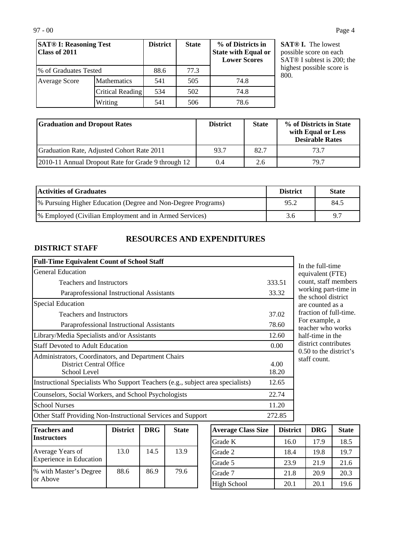| <b>SAT® I: Reasoning Test</b><br>Class of 2011 |                    | <b>District</b> | <b>State</b> | % of Districts in<br><b>State with Equal or</b><br><b>Lower Scores</b> |  |
|------------------------------------------------|--------------------|-----------------|--------------|------------------------------------------------------------------------|--|
| % of Graduates Tested                          |                    | 88.6            | 77.3         |                                                                        |  |
| Average Score                                  | <b>Mathematics</b> | 541             | 505          | 74.8                                                                   |  |
|                                                | Critical Reading   | 534             | 502          | 74.8                                                                   |  |
|                                                | Writing            | 541             | 506          | 78.6                                                                   |  |

**SAT® I.** The lowest possible score on each SAT® I subtest is 200; the highest possible score is 800.

| <b>Graduation and Dropout Rates</b>                  | <b>District</b> | <b>State</b> | % of Districts in State<br>with Equal or Less<br><b>Desirable Rates</b> |
|------------------------------------------------------|-----------------|--------------|-------------------------------------------------------------------------|
| Graduation Rate, Adjusted Cohort Rate 2011           | 93.7            | 82.7         | 73.7                                                                    |
| [2010-11 Annual Dropout Rate for Grade 9 through 12] | 0.4             | 2.6          | 797                                                                     |

| <b>Activities of Graduates</b>                                | <b>District</b> | <b>State</b> |
|---------------------------------------------------------------|-----------------|--------------|
| [% Pursuing Higher Education (Degree and Non-Degree Programs) | 95.2            | 84.5         |
| [% Employed (Civilian Employment and in Armed Services)       | 3.6             | 9.7          |

# **RESOURCES AND EXPENDITURES**

## **DISTRICT STAFF**

| <b>Full-Time Equivalent Count of School Staff</b>                                                     |               |
|-------------------------------------------------------------------------------------------------------|---------------|
| General Education                                                                                     |               |
| <b>Teachers and Instructors</b>                                                                       | 333.51        |
| Paraprofessional Instructional Assistants                                                             | 33.32         |
| <b>Special Education</b>                                                                              |               |
| <b>Teachers and Instructors</b>                                                                       | 37.02         |
| Paraprofessional Instructional Assistants                                                             | 78.60         |
| Library/Media Specialists and/or Assistants                                                           | 12.60         |
| <b>Staff Devoted to Adult Education</b>                                                               | 0.00          |
| Administrators, Coordinators, and Department Chairs<br><b>District Central Office</b><br>School Level | 4.00<br>18.20 |
| Instructional Specialists Who Support Teachers (e.g., subject area specialists)                       | 12.65         |
| Counselors, Social Workers, and School Psychologists                                                  | 22.74         |
| <b>School Nurses</b>                                                                                  | 11.20         |
| Other Staff Providing Non-Instructional Services and Support                                          | 272.85        |

In the full-time equivalent (FTE) count, staff members working part-time in the school district are counted as a fraction of full-time. For example, a teacher who works half-time in the district contributes 0.50 to the district's staff count.

| <b>Teachers and</b><br><b>Instructors</b>        | <b>District</b> | <b>DRG</b> | <b>State</b> |
|--------------------------------------------------|-----------------|------------|--------------|
| Average Years of<br>Experience in Education      | 13.0            | 14.5       | 13.9         |
| <sup>9</sup> % with Master's Degree<br>lor Above | 88.6            | 86.9       | 79.6         |

| <b>Average Class Size</b> | <b>District</b> | <b>DRG</b> | <b>State</b> |
|---------------------------|-----------------|------------|--------------|
| Grade K                   | 16.0            | 17.9       | 18.5         |
| Grade 2                   | 18.4            | 19.8       | 19.7         |
| Grade 5                   | 23.9            | 21.9       | 21.6         |
| Grade 7                   | 21.8            | 20.9       | 20.3         |
| <b>High School</b>        | 20.1            | 20.1       | 19.6         |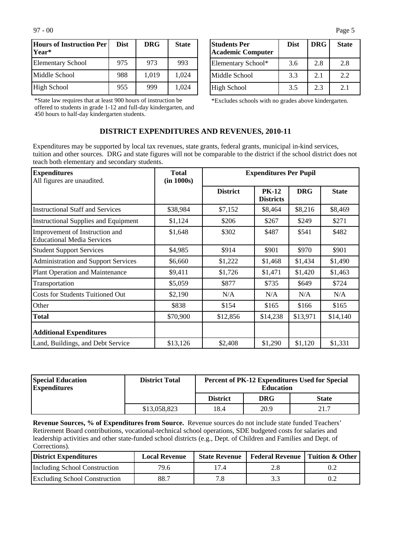| Hours of Instruction Per<br>lYear* | <b>Dist</b> | <b>DRG</b> | <b>State</b> |
|------------------------------------|-------------|------------|--------------|
| <b>Elementary School</b>           | 975         | 973        | 993          |
| Middle School                      | 988         | 1,019      | 1,024        |
| High School                        | 955         | 999        | 1,024        |

\*State law requires that at least 900 hours of instruction be offered to students in grade 1-12 and full-day kindergarten, and 450 hours to half-day kindergarten students.

| <b>Students Per</b><br><b>Academic Computer</b> | <b>Dist</b> | <b>DRG</b> | <b>State</b> |
|-------------------------------------------------|-------------|------------|--------------|
| Elementary School*                              | 3.6         | 2.8        | 2.8          |
| Middle School                                   | 3.3         | 2.1        | 2.2          |
| High School                                     | 3.5         | 2.3        | 2.1          |

\*Excludes schools with no grades above kindergarten.

### **DISTRICT EXPENDITURES AND REVENUES, 2010-11**

Expenditures may be supported by local tax revenues, state grants, federal grants, municipal in-kind services, tuition and other sources. DRG and state figures will not be comparable to the district if the school district does not teach both elementary and secondary students.

| <b>Expenditures</b><br>All figures are unaudited.                   | <b>Total</b><br>(in 1000s) | <b>Expenditures Per Pupil</b> |                                  |            |              |
|---------------------------------------------------------------------|----------------------------|-------------------------------|----------------------------------|------------|--------------|
|                                                                     |                            | <b>District</b>               | <b>PK-12</b><br><b>Districts</b> | <b>DRG</b> | <b>State</b> |
| <b>Instructional Staff and Services</b>                             | \$38,984                   | \$7,152                       | \$8,464                          | \$8,216    | \$8,469      |
| <b>Instructional Supplies and Equipment</b>                         | \$1,124                    | \$206                         | \$267                            | \$249      | \$271        |
| Improvement of Instruction and<br><b>Educational Media Services</b> | \$1,648                    | \$302                         | \$487                            | \$541      | \$482        |
| <b>Student Support Services</b>                                     | \$4,985                    | \$914                         | \$901                            | \$970      | \$901        |
| <b>Administration and Support Services</b>                          | \$6,660                    | \$1,222                       | \$1,468                          | \$1,434    | \$1,490      |
| Plant Operation and Maintenance                                     | \$9,411                    | \$1,726                       | \$1,471                          | \$1,420    | \$1,463      |
| Transportation                                                      | \$5,059                    | \$877                         | \$735                            | \$649      | \$724        |
| <b>Costs for Students Tuitioned Out</b>                             | \$2,190                    | N/A                           | N/A                              | N/A        | N/A          |
| Other                                                               | \$838                      | \$154                         | \$165                            | \$166      | \$165        |
| <b>Total</b>                                                        | \$70,900                   | \$12,856                      | \$14,238                         | \$13,971   | \$14,140     |
| <b>Additional Expenditures</b>                                      |                            |                               |                                  |            |              |
| Land, Buildings, and Debt Service                                   | \$13,126                   | \$2,408                       | \$1,290                          | \$1,120    | \$1,331      |

| <b>Special Education</b><br><b>Expenditures</b> | <b>District Total</b> | <b>Percent of PK-12 Expenditures Used for Special</b><br><b>Education</b> |            |              |
|-------------------------------------------------|-----------------------|---------------------------------------------------------------------------|------------|--------------|
|                                                 |                       | <b>District</b>                                                           | <b>DRG</b> | <b>State</b> |
|                                                 | \$13,058,823          | 18.4                                                                      | 20.9       | 21.7         |

**Revenue Sources, % of Expenditures from Source.** Revenue sources do not include state funded Teachers' Retirement Board contributions, vocational-technical school operations, SDE budgeted costs for salaries and leadership activities and other state-funded school districts (e.g., Dept. of Children and Families and Dept. of Corrections).

| District Expenditures                | <b>Local Revenue</b> |      | State Revenue   Federal Revenue   Tuition & Other |     |
|--------------------------------------|----------------------|------|---------------------------------------------------|-----|
| Including School Construction        | 79.6                 | 17.4 |                                                   |     |
| <b>Excluding School Construction</b> | 88.7                 |      |                                                   | 0.2 |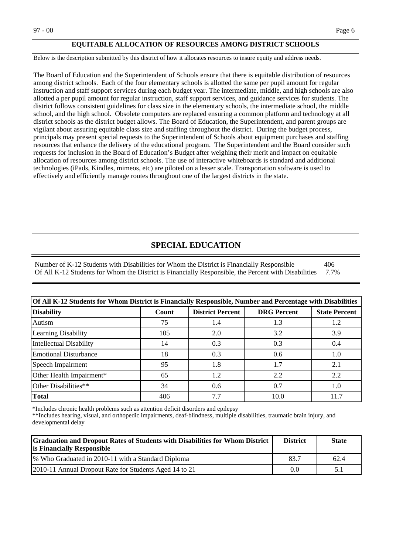#### **EQUITABLE ALLOCATION OF RESOURCES AMONG DISTRICT SCHOOLS**

Below is the description submitted by this district of how it allocates resources to insure equity and address needs.

The Board of Education and the Superintendent of Schools ensure that there is equitable distribution of resources among district schools. Each of the four elementary schools is allotted the same per pupil amount for regular instruction and staff support services during each budget year. The intermediate, middle, and high schools are also allotted a per pupil amount for regular instruction, staff support services, and guidance services for students. The district follows consistent guidelines for class size in the elementary schools, the intermediate school, the middle school, and the high school. Obsolete computers are replaced ensuring a common platform and technology at all district schools as the district budget allows. The Board of Education, the Superintendent, and parent groups are vigilant about assuring equitable class size and staffing throughout the district. During the budget process, principals may present special requests to the Superintendent of Schools about equipment purchases and staffing resources that enhance the delivery of the educational program. The Superintendent and the Board consider such requests for inclusion in the Board of Education's Budget after weighing their merit and impact on equitable allocation of resources among district schools. The use of interactive whiteboards is standard and additional technologies (iPads, Kindles, mimeos, etc) are piloted on a lesser scale. Transportation software is used to effectively and efficiently manage routes throughout one of the largest districts in the state.

### **SPECIAL EDUCATION**

Number of K-12 Students with Disabilities for Whom the District is Financially Responsible 406 Of All K-12 Students for Whom the District is Financially Responsible, the Percent with Disabilities 7.7%

| Of All K-12 Students for Whom District is Financially Responsible, Number and Percentage with Disabilities |       |                                                                       |      |     |  |  |
|------------------------------------------------------------------------------------------------------------|-------|-----------------------------------------------------------------------|------|-----|--|--|
| <b>Disability</b>                                                                                          | Count | <b>DRG</b> Percent<br><b>District Percent</b><br><b>State Percent</b> |      |     |  |  |
| Autism                                                                                                     | 75    | 1.4                                                                   | 1.3  | 1.2 |  |  |
| Learning Disability                                                                                        | 105   | 2.0                                                                   | 3.2  | 3.9 |  |  |
| Intellectual Disability                                                                                    | 14    | 0.3                                                                   | 0.3  | 0.4 |  |  |
| Emotional Disturbance                                                                                      | 18    | 0.3                                                                   | 0.6  | 1.0 |  |  |
| Speech Impairment                                                                                          | 95    | 1.8                                                                   | 1.7  | 2.1 |  |  |
| Other Health Impairment*                                                                                   | 65    | 1.2                                                                   | 2.2  | 2.2 |  |  |
| Other Disabilities**                                                                                       | 34    | 0.6                                                                   | 0.7  | 1.0 |  |  |
| Total                                                                                                      | 406   | 7.7                                                                   | 10.0 |     |  |  |

\*Includes chronic health problems such as attention deficit disorders and epilepsy

\*\*Includes hearing, visual, and orthopedic impairments, deaf-blindness, multiple disabilities, traumatic brain injury, and developmental delay

| <b>Graduation and Dropout Rates of Students with Disabilities for Whom District</b><br><b>is Financially Responsible</b> | <b>District</b> | <b>State</b> |
|--------------------------------------------------------------------------------------------------------------------------|-----------------|--------------|
| 1% Who Graduated in 2010-11 with a Standard Diploma                                                                      | 83.7            | 62.4         |
| [2010-11 Annual Dropout Rate for Students Aged 14 to 21]                                                                 | 0.0             |              |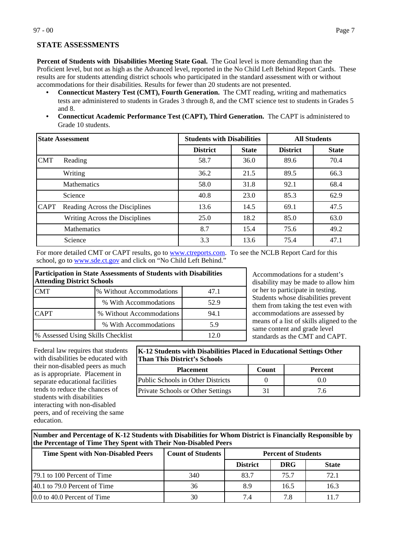**STATE ASSESSMENTS**

**Percent of Students with Disabilities Meeting State Goal.** The Goal level is more demanding than the Proficient level, but not as high as the Advanced level, reported in the No Child Left Behind Report Cards. These results are for students attending district schools who participated in the standard assessment with or without accommodations for their disabilities. Results for fewer than 20 students are not presented.

- **Connecticut Mastery Test (CMT), Fourth Generation.** The CMT reading, writing and mathematics tests are administered to students in Grades 3 through 8, and the CMT science test to students in Grades 5 and 8.
- **Connecticut Academic Performance Test (CAPT), Third Generation.** The CAPT is administered to Grade 10 students.

| <b>State Assessment</b> |                                | <b>Students with Disabilities</b> |              | <b>All Students</b> |              |
|-------------------------|--------------------------------|-----------------------------------|--------------|---------------------|--------------|
|                         |                                | <b>District</b>                   | <b>State</b> | <b>District</b>     | <b>State</b> |
| <b>CMT</b>              | Reading                        | 58.7                              | 36.0         | 89.6                | 70.4         |
|                         | Writing                        | 36.2                              | 21.5         | 89.5                | 66.3         |
|                         | <b>Mathematics</b>             | 58.0                              | 31.8         | 92.1                | 68.4         |
|                         | Science                        | 40.8                              | 23.0         | 85.3                | 62.9         |
| <b>CAPT</b>             | Reading Across the Disciplines | 13.6                              | 14.5         | 69.1                | 47.5         |
|                         | Writing Across the Disciplines | 25.0                              | 18.2         | 85.0                | 63.0         |
|                         | Mathematics                    | 8.7                               | 15.4         | 75.6                | 49.2         |
|                         | Science                        | 3.3                               | 13.6         | 75.4                | 47.1         |

For more detailed CMT or CAPT results, go to [www.ctreports.com.](http://www.ctreports.com/) To see the NCLB Report Card for this school, go to [www.sde.ct.gov](http://www.sde.ct.gov/) and click on "No Child Left Behind."

| Participation in State Assessments of Students with Disabilities<br><b>Attending District Schools</b> |                                           |      |  |  |  |
|-------------------------------------------------------------------------------------------------------|-------------------------------------------|------|--|--|--|
| <b>CMT</b><br>% Without Accommodations<br>47.1                                                        |                                           |      |  |  |  |
|                                                                                                       | % With Accommodations                     | 52.9 |  |  |  |
| <b>CAPT</b><br>% Without Accommodations                                                               |                                           | 94.1 |  |  |  |
| % With Accommodations<br>5.9                                                                          |                                           |      |  |  |  |
|                                                                                                       | % Assessed Using Skills Checklist<br>12.0 |      |  |  |  |

Accommodations for a student's disability may be made to allow him or her to participate in testing. Students whose disabilities prevent them from taking the test even with accommodations are assessed by means of a list of skills aligned to the same content and grade level standards as the CMT and CAPT.

Federal law requires that students with disabilities be educated with their non-disabled peers as much as is appropriate. Placement in separate educational facilities tends to reduce the chances of students with disabilities interacting with non-disabled peers, and of receiving the same education.

**K-12 Students with Disabilities Placed in Educational Settings Other Than This District's Schools**

| <b>Placement</b>                         | Count | <b>Percent</b> |
|------------------------------------------|-------|----------------|
| Public Schools in Other Districts        |       | 0.0            |
| <b>Private Schools or Other Settings</b> |       | 6./            |

**Number and Percentage of K-12 Students with Disabilities for Whom District is Financially Responsible by the Percentage of Time They Spent with Their Non-Disabled Peers**

| <b>Time Spent with Non-Disabled Peers</b> | <b>Count of Students</b> | <b>Percent of Students</b> |            |              |
|-------------------------------------------|--------------------------|----------------------------|------------|--------------|
|                                           |                          | <b>District</b>            | <b>DRG</b> | <b>State</b> |
| [79.1 to 100 Percent of Time]             | 340                      | 83.7                       | 75.7       | 72.1         |
| $ 40.1 \text{ to } 79.0$ Percent of Time  | 36                       | 8.9                        | 16.5       | 16.3         |
| 0.0 to 40.0 Percent of Time               | 30                       | 74                         | 7.8        |              |